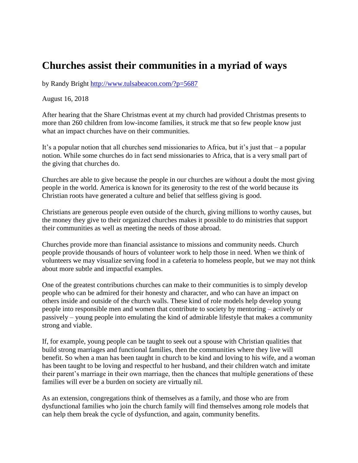## **Churches assist their communities in a myriad of ways**

by Randy Bright <http://www.tulsabeacon.com/?p=5687>

August 16, 2018

After hearing that the Share Christmas event at my church had provided Christmas presents to more than 260 children from low-income families, it struck me that so few people know just what an impact churches have on their communities.

It's a popular notion that all churches send missionaries to Africa, but it's just that – a popular notion. While some churches do in fact send missionaries to Africa, that is a very small part of the giving that churches do.

Churches are able to give because the people in our churches are without a doubt the most giving people in the world. America is known for its generosity to the rest of the world because its Christian roots have generated a culture and belief that selfless giving is good.

Christians are generous people even outside of the church, giving millions to worthy causes, but the money they give to their organized churches makes it possible to do ministries that support their communities as well as meeting the needs of those abroad.

Churches provide more than financial assistance to missions and community needs. Church people provide thousands of hours of volunteer work to help those in need. When we think of volunteers we may visualize serving food in a cafeteria to homeless people, but we may not think about more subtle and impactful examples.

One of the greatest contributions churches can make to their communities is to simply develop people who can be admired for their honesty and character, and who can have an impact on others inside and outside of the church walls. These kind of role models help develop young people into responsible men and women that contribute to society by mentoring – actively or passively – young people into emulating the kind of admirable lifestyle that makes a community strong and viable.

If, for example, young people can be taught to seek out a spouse with Christian qualities that build strong marriages and functional families, then the communities where they live will benefit. So when a man has been taught in church to be kind and loving to his wife, and a woman has been taught to be loving and respectful to her husband, and their children watch and imitate their parent's marriage in their own marriage, then the chances that multiple generations of these families will ever be a burden on society are virtually nil.

As an extension, congregations think of themselves as a family, and those who are from dysfunctional families who join the church family will find themselves among role models that can help them break the cycle of dysfunction, and again, community benefits.